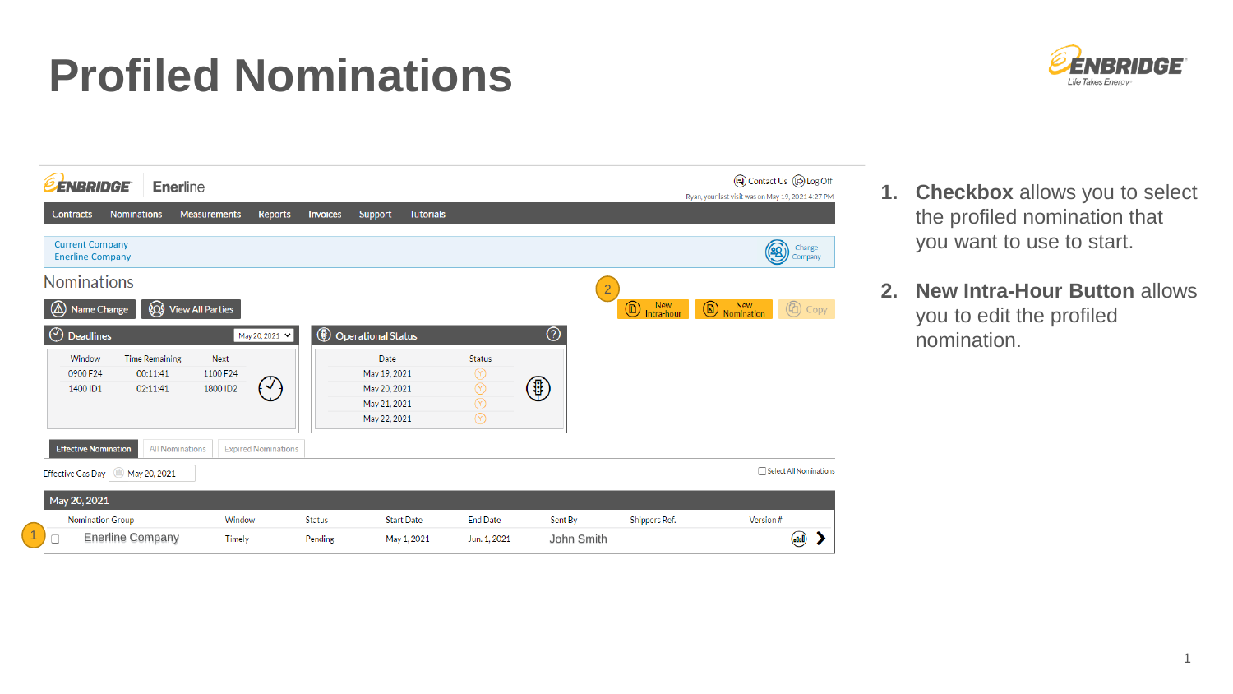## **Profiled Nominations**



| <b>ÉNBRIDGE</b>                                   |                                   | <b>Enerline</b>         |                            |                 |                              |                   |                                  |                 |                |                                          | (a) Contact Us (B) Log Off<br>Ryan, your last visit was on May 19, 2021 4:27 PM |
|---------------------------------------------------|-----------------------------------|-------------------------|----------------------------|-----------------|------------------------------|-------------------|----------------------------------|-----------------|----------------|------------------------------------------|---------------------------------------------------------------------------------|
| <b>Contracts</b>                                  | <b>Nominations</b>                | <b>Measurements</b>     | Reports                    | <b>Invoices</b> | Support                      | <b>Tutorials</b>  |                                  |                 |                |                                          |                                                                                 |
| <b>Current Company</b><br><b>Enerline Company</b> |                                   |                         |                            |                 |                              |                   |                                  |                 |                |                                          | Change<br>88<br>Company                                                         |
| <b>Nominations</b>                                |                                   |                         |                            |                 |                              |                   |                                  |                 | $\overline{2}$ |                                          |                                                                                 |
| (∆<br><b>Name Change</b>                          | ⊗                                 | <b>View All Parties</b> |                            |                 |                              |                   |                                  |                 |                | <b>New</b><br>$^\circledR$<br>Intra-hour | <b>New</b><br>$^{\circledR}$<br>$^{\circledR}$<br>Copy<br>Nomination            |
| $\odot$<br><b>Deadlines</b>                       |                                   |                         | May 20, 2021 V             | ⊕               | <b>Operational Status</b>    |                   |                                  | $_{\tiny\odot}$ |                |                                          |                                                                                 |
| Window<br>0900 F24                                | <b>Time Remaining</b><br>00:11:41 | <b>Next</b><br>1100 F24 |                            |                 | Date<br>May 19, 2021         |                   | <b>Status</b>                    |                 |                |                                          |                                                                                 |
| 1400 ID1                                          | 02:11:41                          | 1800 ID2                | $(\vee)$                   |                 | May 20, 2021                 |                   | $^\circledR$<br>$^{\circledR}$   | \$              |                |                                          |                                                                                 |
|                                                   |                                   |                         |                            |                 | May 21, 2021<br>May 22, 2021 |                   | $\circledcirc$<br>$\circledcirc$ |                 |                |                                          |                                                                                 |
| <b>Effective Nomination</b>                       |                                   | <b>All Nominations</b>  | <b>Expired Nominations</b> |                 |                              |                   |                                  |                 |                |                                          |                                                                                 |
| <b>Effective Gas Day</b>                          | May 20, 2021                      |                         |                            |                 |                              |                   |                                  |                 |                |                                          | Select All Nominations                                                          |
| May 20, 2021                                      |                                   |                         |                            |                 |                              |                   |                                  |                 |                |                                          |                                                                                 |
| Nomination Group                                  |                                   | Window                  |                            | <b>Status</b>   |                              | <b>Start Date</b> | <b>End Date</b>                  | Sent By         |                | Shippers Ref.                            | Version#                                                                        |
| 0                                                 | <b>Enerline Company</b>           | Timely                  |                            | Pending         |                              | May 1, 2021       | Jun. 1, 2021                     |                 | John Smith     |                                          | (سه)                                                                            |

- **1. Checkbox** allows you to select the profiled nomination that you want to use to start.
- **2. New Intra-Hour Button** allows you to edit the profiled nomination.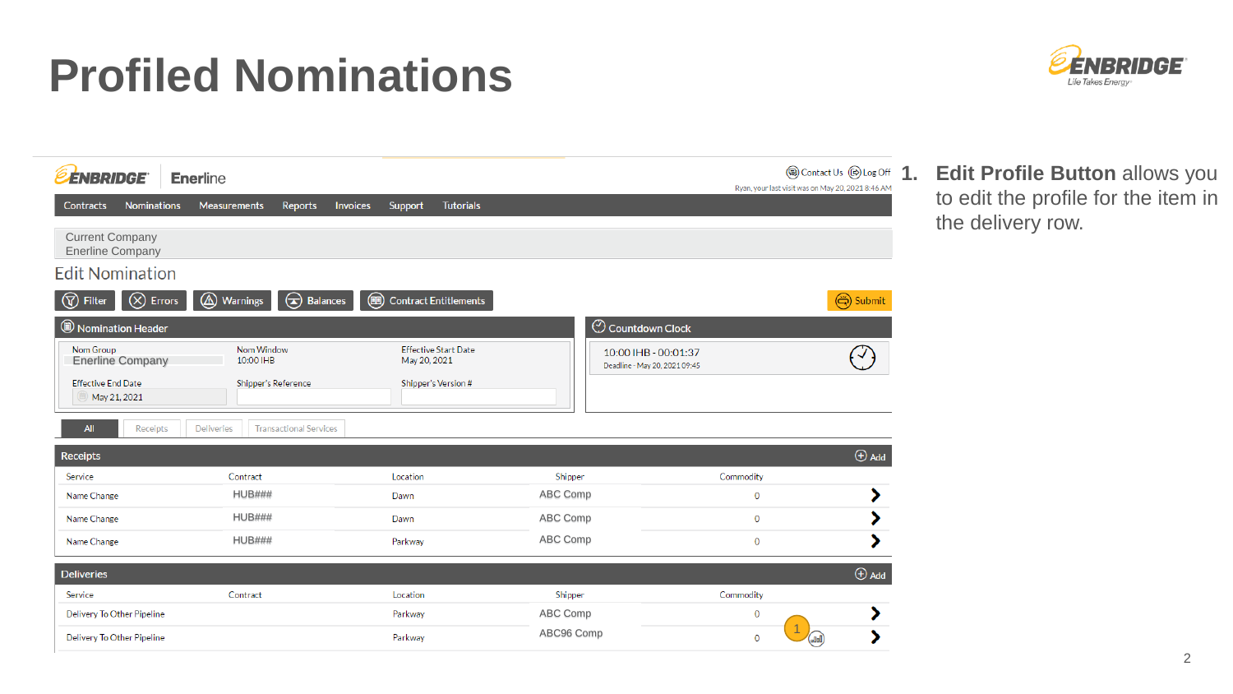## **Profiled Nominations**



| <b>ÉNBRIDGE</b>                                   | <b>Enerline</b>                                    |                                                          |                                                       | Ryan, your last visit was on May 20, 2021 8:46 AM | <b>③</b> Contact Us <b>⑥</b> Log Off<br>1. |
|---------------------------------------------------|----------------------------------------------------|----------------------------------------------------------|-------------------------------------------------------|---------------------------------------------------|--------------------------------------------|
| <b>Nominations</b><br><b>Contracts</b>            | <b>Invoices</b><br><b>Measurements</b><br>Reports  | <b>Tutorials</b><br>Support                              |                                                       |                                                   |                                            |
| <b>Current Company</b><br><b>Enerline Company</b> |                                                    |                                                          |                                                       |                                                   |                                            |
| <b>Edit Nomination</b>                            |                                                    |                                                          |                                                       |                                                   |                                            |
| $\circledR$ Errors<br>$\circledR$<br>Filter       | Balances<br><br>Warnings                           | $\textcircled{\tiny{H}}$<br><b>Contract Entitlements</b> |                                                       |                                                   | (今) Submit                                 |
| Nomination Header                                 |                                                    |                                                          | $\odot$ Countdown Clock                               |                                                   |                                            |
| Nom Group<br><b>Enerline Company</b>              | Nom Window<br>10:00 IHB                            | <b>Effective Start Date</b><br>May 20, 2021              | 10:00 IHB - 00:01:37<br>Deadline - May 20, 2021 09:45 |                                                   |                                            |
| <b>Effective End Date</b><br>May 21, 2021         | Shipper's Reference                                | Shipper's Version #                                      |                                                       |                                                   |                                            |
| <b>All</b><br>Receipts                            | <b>Deliveries</b><br><b>Transactional Services</b> |                                                          |                                                       |                                                   |                                            |
| <b>Receipts</b>                                   |                                                    |                                                          |                                                       |                                                   | $\bigoplus$ Add                            |
| Service                                           | Contract                                           | Location                                                 | Shipper                                               | Commodity                                         |                                            |
| Name Change                                       | <b>HUB###</b>                                      | Dawn                                                     | ABC Comp                                              | 0                                                 | ⋗                                          |
|                                                   |                                                    |                                                          |                                                       |                                                   |                                            |
| Name Change                                       | <b>HUB###</b>                                      | Dawn                                                     | ABC Comp                                              | $\mathbf 0$                                       |                                            |
| Name Change                                       | <b>HUB###</b>                                      | Parkway                                                  | ABC Comp                                              | 0                                                 |                                            |
| <b>Deliveries</b>                                 |                                                    |                                                          |                                                       |                                                   | $\bigoplus$ Add                            |
| Service                                           | Contract                                           | Location                                                 | Shipper                                               | Commodity                                         |                                            |
| Delivery To Other Pipeline                        |                                                    | Parkway                                                  | ABC Comp                                              | 0                                                 |                                            |

**1. Edit Profile Button** allows you to edit the profile for the item in the delivery row.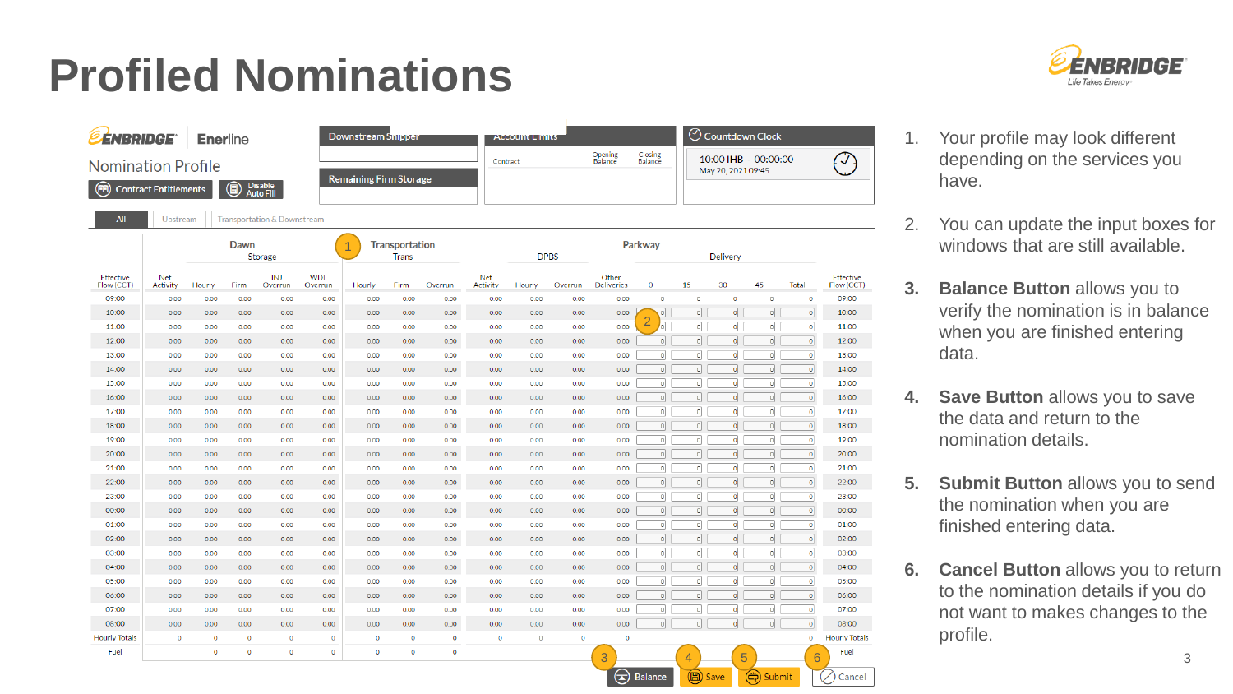## **Profiled Nominations**





- 1. Your profile may look different depending on the services you have.
- 2. You can update the input boxes for windows that are still available.
- **3. Balance Button** allows you to verify the nomination is in balance when you are finished entering data.
- **4. Save Button** allows you to save the data and return to the nomination details.
- **5. Submit Button** allows you to send the nomination when you are finished entering data.
- **6. Cancel Button** allows you to return to the nomination details if you do not want to makes changes to the profile.